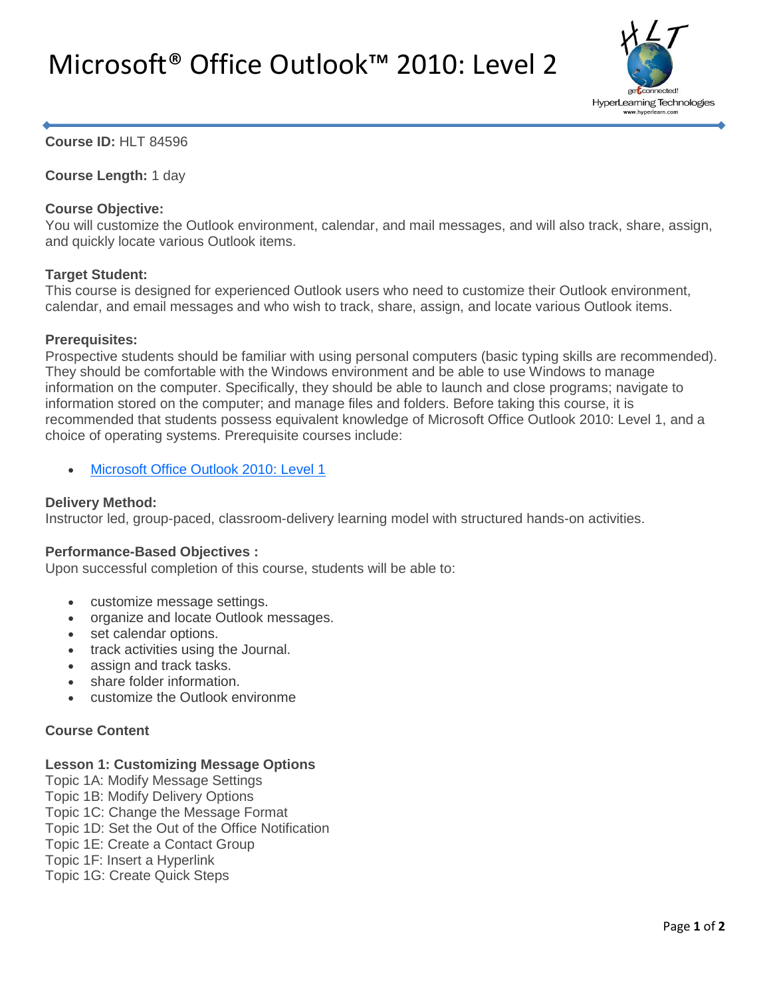# Microsoft® Office Outlook™ 2010: Level 2



## **Course ID:** HLT 84596

**Course Length:** 1 day

## **Course Objective:**

You will customize the Outlook environment, calendar, and mail messages, and will also track, share, assign, and quickly locate various Outlook items.

## **Target Student:**

This course is designed for experienced Outlook users who need to customize their Outlook environment, calendar, and email messages and who wish to track, share, assign, and locate various Outlook items.

## **Prerequisites:**

Prospective students should be familiar with using personal computers (basic typing skills are recommended). They should be comfortable with the Windows environment and be able to use Windows to manage information on the computer. Specifically, they should be able to launch and close programs; navigate to information stored on the computer; and manage files and folders. Before taking this course, it is recommended that students possess equivalent knowledge of Microsoft Office Outlook 2010: Level 1, and a choice of operating systems. Prerequisite courses include:

[Microsoft Office Outlook 2010: Level 1](http://www.hyperlearn.com/courses/microsoft-office/microsoft-outlook/outlook-level-one)

## **Delivery Method:**

Instructor led, group-paced, classroom-delivery learning model with structured hands-on activities.

#### **Performance-Based Objectives :**

Upon successful completion of this course, students will be able to:

- customize message settings.
- organize and locate Outlook messages.
- set calendar options.
- track activities using the Journal.
- assign and track tasks.
- share folder information.
- customize the Outlook environme

## **Course Content**

#### **Lesson 1: Customizing Message Options**

- Topic 1A: Modify Message Settings
- Topic 1B: Modify Delivery Options
- Topic 1C: Change the Message Format
- Topic 1D: Set the Out of the Office Notification
- Topic 1E: Create a Contact Group
- Topic 1F: Insert a Hyperlink
- Topic 1G: Create Quick Steps